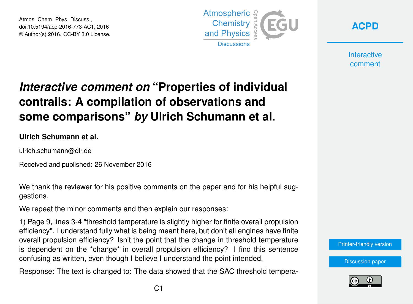Atmos. Chem. Phys. Discuss., doi:10.5194/acp-2016-773-AC1, 2016 © Author(s) 2016. CC-BY 3.0 License.





**Interactive** comment

## *Interactive comment on* **"Properties of individual contrails: A compilation of observations and some comparisons"** *by* **Ulrich Schumann et al.**

**Ulrich Schumann et al.**

ulrich.schumann@dlr.de

Received and published: 26 November 2016

We thank the reviewer for his positive comments on the paper and for his helpful suggestions.

We repeat the minor comments and then explain our responses:

1) Page 9, lines 3-4 "threshold temperature is slightly higher for finite overall propulsion efficiency". I understand fully what is being meant here, but don't all engines have finite overall propulsion efficiency? Isn't the point that the change in threshold temperature is dependent on the \*change\* in overall propulsion efficiency? I find this sentence confusing as written, even though I believe I understand the point intended.

Response: The text is changed to: The data showed that the SAC threshold tempera-



[Discussion paper](http://www.atmos-chem-phys-discuss.net/acp-2016-773)